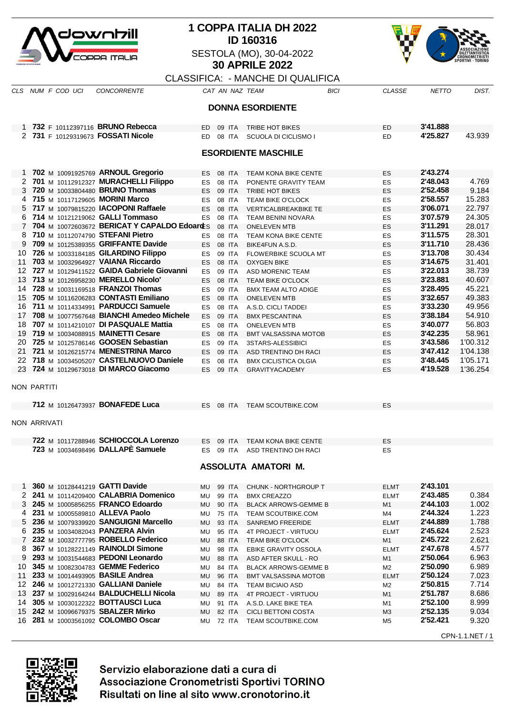

## **1 COPPA ITALIA DH 2022 ID 160316** SESTOLA (MO), 30-04-2022 **30 APRILE 2022**



CPN-1.1.NET / 1

## CLASSIFICA: - MANCHE DI QUALIFICA

| האו ווטראיט<br>ר ווארושטו וב טו שטאורי |                     |                   |                                                                                      |           |  |                  |                                                          |      |                      |                      |                      |  |
|----------------------------------------|---------------------|-------------------|--------------------------------------------------------------------------------------|-----------|--|------------------|----------------------------------------------------------|------|----------------------|----------------------|----------------------|--|
|                                        |                     | CLS NUM F COD UCI | <b>CONCORRENTE</b>                                                                   |           |  |                  | CAT AN NAZ TEAM                                          | BICI | <b>CLASSE</b>        | <b>NETTO</b>         | DIST.                |  |
| <b>DONNA ESORDIENTE</b>                |                     |                   |                                                                                      |           |  |                  |                                                          |      |                      |                      |                      |  |
|                                        |                     |                   |                                                                                      |           |  |                  |                                                          |      |                      |                      |                      |  |
|                                        |                     |                   | 1 732 F 10112397116 BRUNO Rebecca                                                    | ED.       |  | 09 ITA           | TRIBE HOT BIKES                                          |      | <b>ED</b>            | 3'41.888             |                      |  |
|                                        |                     |                   | 2 731 F 10129319673 FOSSATI Nicole                                                   | ED.       |  | 08 ITA           | SCUOLA DI CICLISMO I                                     |      | ED                   | 4'25.827             | 43.939               |  |
|                                        |                     |                   |                                                                                      |           |  |                  |                                                          |      |                      |                      |                      |  |
| <b>ESORDIENTE MASCHILE</b>             |                     |                   |                                                                                      |           |  |                  |                                                          |      |                      |                      |                      |  |
|                                        |                     |                   |                                                                                      |           |  |                  |                                                          |      |                      |                      |                      |  |
|                                        |                     |                   | 1 702 M 10091925769 ARNOUL Gregorio<br>2 701 M 10112912327 MURACHELLI Filippo        | ES        |  | 08 ITA           | TEAM KONA BIKE CENTE                                     |      | ES                   | 2'43.274<br>2'48.043 | 4.769                |  |
|                                        |                     |                   | 3 720 M 10033804480 BRUNO Thomas                                                     | ES<br>ES. |  | 08 ITA<br>09 ITA | PONENTE GRAVITY TEAM<br>TRIBE HOT BIKES                  |      | ES<br>ES             | 2'52.458             | 9.184                |  |
|                                        |                     |                   | 4 715 M 10117129605 MORINI Marco                                                     | ES        |  | 08 ITA           | <b>TEAM BIKE O'CLOCK</b>                                 |      | ES                   | 2'58.557             | 15.283               |  |
|                                        |                     |                   | 5 717 M 10079815220 <b>IACOPONI Raffaele</b>                                         | ES        |  | 08 ITA           | <b>VERTICALBREAKBIKE TE</b>                              |      | ES                   | 3'06.071             | 22.797               |  |
|                                        |                     |                   | 6 714 M 10121219062 GALLI Tommaso                                                    | ES        |  | 08 ITA           | TEAM BENINI NOVARA                                       |      | ES                   | 3'07.579             | 24.305               |  |
|                                        |                     |                   | 7 704 M 10072603672 BERICAT Y CAPALDO EdoardEs                                       |           |  | 08 ITA           | <b>ONELEVEN MTB</b>                                      |      | ES                   | 3'11.291             | 28.017               |  |
| 8.                                     |                     |                   | 710 M 10112074790 STEFANI Pietro                                                     | <b>ES</b> |  | 08 ITA           | TEAM KONA BIKE CENTE                                     |      | ES                   | 3'11.575             | 28.301               |  |
|                                        |                     |                   | 9 709 M 10125389355 GRIFFANTE Davide                                                 | ES.       |  | 08 ITA           | BIKE4FUN A.S.D.                                          |      | ES                   | 3'11.710             | 28.436               |  |
|                                        |                     |                   | 10 726 M 10033184185 GILARDINO Filippo                                               | ES        |  | 09 ITA           | FLOWERBIKE SCUOLA MT                                     |      | ES                   | 3'13.708             | 30.434               |  |
|                                        |                     |                   | 11 703 M 10032964927 VAIANA Riccardo<br>12 727 M 10129411522 GAIDA Gabriele Giovanni | <b>ES</b> |  | 08 ITA           | <b>OXYGEN BIKE</b>                                       |      | ES                   | 3'14.675<br>3'22.013 | 31.401<br>38.739     |  |
|                                        |                     |                   | 13 713 M 10126958230 MERELLO Nicolo'                                                 | ES<br>ES  |  | 09 ITA<br>08 ITA | <b>ASD MORENIC TEAM</b><br><b>TEAM BIKE O'CLOCK</b>      |      | ES<br>ES             | 3'23.881             | 40.607               |  |
|                                        |                     |                   | 14 728 M 10031169518 FRANZOI Thomas                                                  | ES        |  | 09 ITA           | <b>BMX TEAM ALTO ADIGE</b>                               |      | ES                   | 3'28.495             | 45.221               |  |
| 15                                     |                     |                   | 705 M 10116206283 CONTASTI Emiliano                                                  | ES        |  | 08 ITA           | <b>ONELEVEN MTB</b>                                      |      | ES                   | 3'32.657             | 49.383               |  |
|                                        |                     |                   | 16 711 M 10114334991 PARDUCCI Samuele                                                | ES        |  | 08 ITA           | A.S.D. CICLI TADDEI                                      |      | ES                   | 3'33.230             | 49.956               |  |
| 17                                     |                     |                   | 708 M 10077567648 BIANCHI Amedeo Michele                                             | ES        |  | 09 ITA           | <b>BMX PESCANTINA</b>                                    |      | ES                   | 3'38.184             | 54.910               |  |
| 18                                     |                     |                   | 707 M 10114210107 DI PASQUALE Mattia                                                 | ES        |  | 08 ITA           | <b>ONELEVEN MTB</b>                                      |      | ES                   | 3'40.077             | 56.803               |  |
|                                        |                     |                   | 19 719 M 10034088915 MAINETTI Cesare                                                 | ES        |  | 08 ITA           | <b>BMT VALSASSINA MOTOB</b>                              |      | ES                   | 3'42.235             | 58.961               |  |
|                                        |                     |                   | 20 725 M 10125786146 GOOSEN Sebastian                                                | ES        |  | 09 ITA           | 3STARS-ALESSIBICI                                        |      | ES                   | 3'43.586             | 1'00.312             |  |
| 21                                     |                     |                   | 721 M 10126215774 MENESTRINA Marco                                                   | ES        |  | 09 ITA           | ASD TRENTINO DH RACI                                     |      | ES                   | 3'47.412             | 1'04.138             |  |
|                                        |                     |                   | 22 718 M 10034505207 CASTELNUOVO Daniele                                             | ES        |  | 08 ITA           | <b>BMX CICLISTICA OLGIA</b>                              |      | ES                   | 3'48.445<br>4'19.528 | 1'05.171<br>1'36.254 |  |
|                                        |                     |                   | 23 724 M 10129673018 DI MARCO Giacomo                                                | ES        |  | 09 ITA           | <b>GRAVITYACADEMY</b>                                    |      | <b>ES</b>            |                      |                      |  |
|                                        | <b>NON PARTITI</b>  |                   |                                                                                      |           |  |                  |                                                          |      |                      |                      |                      |  |
|                                        |                     |                   | 712 M 10126473937 BONAFEDE Luca                                                      |           |  | ES 08 ITA        | <b>TEAM SCOUTBIKE.COM</b>                                |      | ES                   |                      |                      |  |
|                                        |                     |                   |                                                                                      |           |  |                  |                                                          |      |                      |                      |                      |  |
|                                        | <b>NON ARRIVATI</b> |                   |                                                                                      |           |  |                  |                                                          |      |                      |                      |                      |  |
|                                        |                     |                   |                                                                                      |           |  |                  |                                                          |      |                      |                      |                      |  |
|                                        |                     |                   | 722 M 10117288946 SCHIOCCOLA Lorenzo<br>723 M 10034698496 DALLAPE Samuele            | ES<br>ES  |  | 09 ITA<br>09 ITA | <b>TEAM KONA BIKE CENTE</b><br>ASD TRENTINO DH RACI      |      | ES<br>ES             |                      |                      |  |
|                                        |                     |                   |                                                                                      |           |  |                  |                                                          |      |                      |                      |                      |  |
|                                        |                     |                   |                                                                                      |           |  |                  | ASSOLUTA AMATORI M.                                      |      |                      |                      |                      |  |
|                                        |                     |                   |                                                                                      |           |  |                  |                                                          |      |                      |                      |                      |  |
| 1                                      |                     |                   | 360 M 10128441219 GATTI Davide                                                       | MU        |  | 99 ITA           | CHUNK - NORTHGROUP T                                     |      | <b>ELMT</b>          | 2'43.101             |                      |  |
|                                        |                     |                   | 2 241 M 10114209400 CALABRIA Domenico<br>3 245 M 10005856255 FRANCO Edoardo          | MU        |  | 99 ITA<br>90 ITA | <b>BMX CREAZZO</b>                                       |      | <b>ELMT</b>          | 2'43.485<br>2'44.103 | 0.384<br>1.002       |  |
|                                        |                     |                   | 4 231 M 10005589810 ALLEVA Paolo                                                     | MU<br>MU  |  | 75 ITA           | <b>BLACK ARROWS-GEMME B</b><br><b>TEAM SCOUTBIKE.COM</b> |      | M <sub>1</sub><br>M4 | 2'44.324             | 1.223                |  |
|                                        |                     |                   | 5 236 M 10079339920 SANGUIGNI Marcello                                               | MU        |  | 93 ITA           | <b>SANREMO FREERIDE</b>                                  |      | <b>ELMT</b>          | 2'44.889             | 1.788                |  |
|                                        |                     |                   | 6 235 M 10034082043 PANZERA Alvin                                                    | MU        |  | 95 ITA           | 4T PROJECT - VIRTUOU                                     |      | ELMT                 | 2'45.624             | 2.523                |  |
|                                        |                     |                   | 7 232 M 10032777795 ROBELLO Federico                                                 | MU        |  | 88 ITA           | <b>TEAM BIKE O'CLOCK</b>                                 |      | M1                   | 2'45.722             | 2.621                |  |
| 8.                                     |                     |                   | 367 M 10128221149 RAINOLDI Simone                                                    | MU        |  | 98 ITA           | EBIKE GRAVITY OSSOLA                                     |      | <b>ELMT</b>          | 2'47.678             | 4.577                |  |
| 9                                      |                     |                   | 293 M 10031544683 PEDONI Leonardo                                                    | MU        |  | 88 ITA           | ASD AFTER SKULL - RO                                     |      | M <sub>1</sub>       | 2'50.064             | 6.963                |  |
| 10                                     |                     |                   | 345 M 10082304783 GEMME Federico                                                     | MU        |  | 84 ITA           | <b>BLACK ARROWS-GEMME B</b>                              |      | M2                   | 2'50.090             | 6.989                |  |
| 11                                     |                     |                   | 233 M 10014493905 BASILE Andrea                                                      | MU        |  | 96 ITA           | <b>BMT VALSASSINA MOTOB</b>                              |      | <b>ELMT</b>          | 2'50.124             | 7.023                |  |
| 12                                     |                     |                   | 246 M 10012721330 GALLIANI Daniele<br>13 237 M 10029164244 BALDUCHELLI Nicola        | MU        |  | 84 ITA           | <b>TEAM BICIAIO ASD</b>                                  |      | M2                   | 2'50.815<br>2'51.787 | 7.714<br>8.686       |  |
| 14                                     |                     |                   | 305 M 10030122322 <b>BOTTAUSCI Luca</b>                                              | MU<br>MU  |  | 89 ITA<br>91 ITA | 4T PROJECT - VIRTUOU<br>A.S.D. LAKE BIKE TEA             |      | M1<br>M1             | 2'52.100             | 8.999                |  |
|                                        |                     |                   | 15 242 M 10096679375 SBALZER Mirko                                                   | MU        |  | 82 ITA           | <b>CICLI BETTONI COSTA</b>                               |      | M3                   | 2'52.135             | 9.034                |  |
|                                        |                     |                   | 16 281 M 10003561092 COLOMBO Oscar                                                   |           |  |                  | MU 72 ITA TEAM SCOUTBIKE.COM                             |      | M5                   | 2'52.421             | 9.320                |  |



Servizio elaborazione dati a cura di Associazione Cronometristi Sportivi TORINO Risultati on line al sito www.cronotorino.it

**281** M 10003561092 **COLOMBO Oscar** MU 72 ITA TEAM SCOUTBIKE.COM M5 **2'52.421** 9.320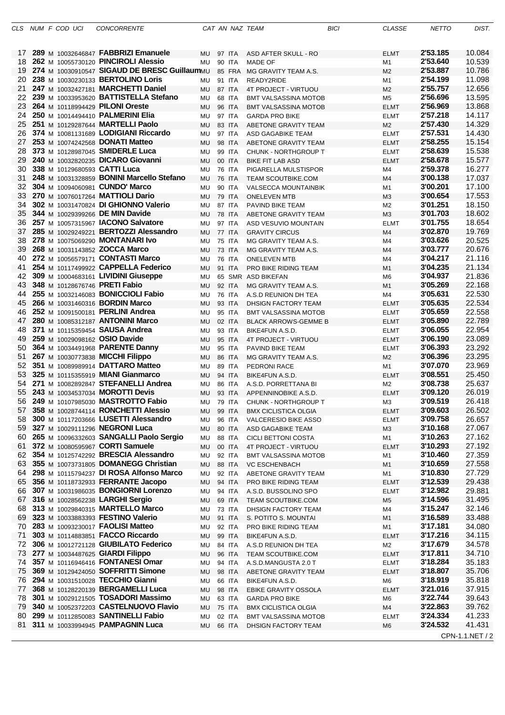| CLS |  | NUM F COD UCI | <b>CONCORRENTE</b>                               |                  |               | CAT AN NAZ TEAM             | <b>BICI</b> | <b>CLASSE</b>  | <b>NETTO</b> | DIST.           |
|-----|--|---------------|--------------------------------------------------|------------------|---------------|-----------------------------|-------------|----------------|--------------|-----------------|
|     |  |               |                                                  |                  |               |                             |             |                |              |                 |
| 17  |  |               | 289 M 10032646847 FABBRIZI Emanuele              | <b>MU 97 ITA</b> |               | ASD AFTER SKULL - RO        |             | <b>ELMT</b>    | 2'53.185     | 10.084          |
| 18  |  |               | 262 M 10055730120 PINCIROLI Alessio              | <b>MU</b>        | 90 ITA        | <b>MADE OF</b>              |             | M <sub>1</sub> | 2'53.640     | 10.539          |
| 19  |  |               | 274 M 10030910547 SIGAUD DE BRESC GuillaumMU     |                  | 85 FRA        | MG GRAVITY TEAM A.S.        |             | M <sub>2</sub> | 2'53.887     | 10.786          |
| 20  |  |               | 238 M 10030230133 BERTOLINO Loris                | MU               | 91 ITA        | READY2RIDE                  |             | M <sub>1</sub> | 2'54.199     | 11.098          |
| 21  |  |               | 247 M 10032427181 MARCHETTI Daniel               | MU               | 87 ITA        | 4T PROJECT - VIRTUOU        |             | M <sub>2</sub> | 2'55.757     | 12.656          |
| 22  |  |               | 239 M 10033953620 BATTISTELLA Stefano            | MU               | 68 ITA        | BMT VALSASSINA MOTOB        |             | M <sub>5</sub> | 2'56.696     | 13.595          |
| 23  |  |               | 264 M 10118994429 PILONI Oreste                  |                  |               |                             |             |                | 2'56.969     | 13.868          |
|     |  |               |                                                  | <b>MU</b>        | 96 ITA        | BMT VALSASSINA MOTOB        |             | <b>ELMT</b>    | 2'57.218     |                 |
| 24  |  |               | 250 M 10014494410 PALMERINI Elia                 | MU               | 97 ITA        | <b>GARDA PRO BIKE</b>       |             | <b>ELMT</b>    |              | 14.117          |
| 25  |  |               | 251 M 10129287644 MARTELLI Paolo                 | <b>MU</b>        | 83 ITA        | ABETONE GRAVITY TEAM        |             | M <sub>2</sub> | 2'57.430     | 14.329          |
| 26  |  |               | 374 M 10081131689 LODIGIANI Riccardo             | MU               | 97 ITA        | ASD GAGABIKE TEAM           |             | <b>ELMT</b>    | 2'57.531     | 14.430          |
| 27  |  |               | 253 M 10074242568 DONATI Matteo                  | <b>MU</b>        | 98 ITA        | ABETONE GRAVITY TEAM        |             | <b>ELMT</b>    | 2'58.255     | 15.154          |
| 28  |  |               | 373 M 10128987045 SMIDERLE Luca                  | MU               | 99 ITA        | CHUNK - NORTHGROUP T        |             | <b>ELMT</b>    | 2'58.639     | 15.538          |
| 29  |  |               | 240 M 10032820235 DICARO Giovanni                | <b>MU</b>        | 00 ITA        | <b>BIKE FIT LAB ASD</b>     |             | <b>ELMT</b>    | 2'58.678     | 15.577          |
| 30  |  |               | 338 M 10129680593 CATTI Luca                     | <b>MU</b>        | <b>76 ITA</b> | PIGARELLA MULSTISPOR        |             | M4             | 2'59.378     | 16.277          |
| 31  |  |               | 248 M 10031328859 BONINI Marcello Stefano        | MU               | <b>76 ITA</b> | <b>TEAM SCOUTBIKE.COM</b>   |             | M <sub>4</sub> | 3'00.138     | 17.037          |
| 32  |  |               | 304 M 10094060981 CUNDO' Marco                   | MU               | 90 ITA        | <b>VALSECCA MOUNTAINBIK</b> |             | M1             | 3'00.201     | 17.100          |
| 33  |  |               | 270 M 10076017264 MATTIOLI Dario                 | MU               | 79 ITA        | <b>ONELEVEN MTB</b>         |             | M <sub>3</sub> | 3'00.654     | 17.553          |
| 34  |  |               | 302 M 10031470824 DI GHIONNO Valerio             | MU               | 87 ITA        | PAVIND BIKE TEAM            |             | M <sub>2</sub> | 3'01.251     | 18.150          |
| 35  |  |               | 344 M 10029399266 DE MIN Davide                  | <b>MU</b>        | <b>78 ITA</b> | ABETONE GRAVITY TEAM        |             | M <sub>3</sub> | 3'01.703     | 18.602          |
| 36  |  |               | 257 M 10057315967 IACONO Salvatore               | MU               | 97 ITA        | ASD VESUVIO MOUNTAIN        |             | <b>ELMT</b>    | 3'01.755     | 18.654          |
| 37  |  |               | 285 M 10029249221 BERTOZZI Alessandro            | MU               | 77 ITA        | <b>GRAVITY CIRCUS</b>       |             | M4             | 3'02.870     | 19.769          |
| 38  |  |               | 278 M 10075069290 MONTANARI Ivo                  |                  |               |                             |             |                | 3'03.626     | 20.525          |
|     |  |               |                                                  | MU               | <b>75 ITA</b> | MG GRAVITY TEAM A.S.        |             | M4             |              |                 |
| 39  |  |               | 268 M 10031143852 ZOCCA Marco                    | MU               | <b>73 ITA</b> | MG GRAVITY TEAM A.S.        |             | M4             | 3'03.777     | 20.676          |
| 40  |  |               | 272 M 10056579171 CONTASTI Marco                 | MU               | 76 ITA        | <b>ONELEVEN MTB</b>         |             | M4             | 3'04.217     | 21.116          |
| 41  |  |               | 254 M 10117499922 CAPPELLA Federico              | MU               | 91 ITA        | PRO BIKE RIDING TEAM        |             | M1             | 3'04.235     | 21.134          |
| 42  |  |               | 309 M 10004683161 LIVIDINI Giuseppe              | MU               |               | 65 SMR ASD BIKEFAN          |             | M <sub>6</sub> | 3'04.937     | 21.836          |
| 43  |  |               | 348 M 10128676746 PRETI Fabio                    | <b>MU</b>        | 92 ITA        | MG GRAVITY TEAM A.S.        |             | M <sub>1</sub> | 3'05.269     | 22.168          |
| 44  |  |               | 255 M 10032146083 BONICCIOLI Fabio               | MU               | 76 ITA        | A.S.D REUNION DH TEA        |             | M4             | 3'05.631     | 22.530          |
| 45  |  |               | 266 M 10031460316 <b>BORDIN Marco</b>            | MU               | 93 ITA        | DHSIGN FACTORY TEAM         |             | <b>ELMT</b>    | 3'05.635     | 22.534          |
| 46  |  |               | 252 M 10091500181 PERLINI Andrea                 | MU               | 95 ITA        | <b>BMT VALSASSINA MOTOB</b> |             | <b>ELMT</b>    | 3'05.659     | 22.558          |
| 47  |  |               | 280 M 10085312187 ANTONINI Marco                 | MU               | 02 ITA        | <b>BLACK ARROWS-GEMME B</b> |             | <b>ELMT</b>    | 3'05.890     | 22.789          |
| 48  |  |               | 371 M 10115359454 SAUSA Andrea                   | MU               | 93 ITA        | BIKE4FUN A.S.D.             |             | ELMT           | 3'06.055     | 22.954          |
| 49  |  |               | 259 M 10029098162 OSIO Davide                    | MU               | 95 ITA        | 4T PROJECT - VIRTUOU        |             | <b>ELMT</b>    | 3'06.190     | 23.089          |
| 50  |  |               | 364 M 10034491968 PARENTE Danny                  | MU               | 95 ITA        | PAVIND BIKE TEAM            |             | ELMT           | 3'06.393     | 23.292          |
| 51  |  |               | 267 M 10030773838 MICCHI Filippo                 | MU               | 86 ITA        | MG GRAVITY TEAM A.S.        |             | M <sub>2</sub> | 3'06.396     | 23.295          |
| 52  |  |               |                                                  |                  |               |                             |             |                |              | 23.969          |
|     |  |               | 351 M 10089989914 DATTARO Matteo                 | MU               | 89 ITA        | PEDRONI RACE                |             | M1             | 3'07.070     |                 |
| 53  |  |               | 325 M 10115355919 MIANI Gianmarco                | MU               | 94 ITA        | BIKE4FUN A.S.D.             |             | <b>ELMT</b>    | 3'08.551     | 25.450          |
| 54  |  |               | 271 M 10082892847 STEFANELLI Andrea              | MU               | 86 ITA        | A.S.D. PORRETTANA BI        |             | M <sub>2</sub> | 3'08.738     | 25.637          |
| 55  |  |               | 243 M 10034537034 MOROTTI Devis                  | MU               | 93 ITA        | APPENNINOBIKE A.S.D.        |             | <b>ELMT</b>    | 3'09.120     | 26.019          |
| 56  |  |               | 249 M 10107985030 MASTROTTO Fabio                | MU               | 79 ITA        | CHUNK - NORTHGROUP T        |             | M3             | 3'09.519     | 26.418          |
| 57  |  |               | 358 M 10028744114 RONCHETTI Alessio              | MU               | 99 ITA        | <b>BMX CICLISTICA OLGIA</b> |             | ELMT           | 3'09.603     | 26.502          |
| 58  |  |               | 300 M 10117203666 LUSETTI Alessandro             | MU               | 96 ITA        | VALCERESIO BIKE ASSO        |             | ELMT           | 3'09.758     | 26.657          |
| 59  |  |               | 327 M 10029111296 NEGRONI Luca                   | MU               | 80 ITA        | ASD GAGABIKE TEAM           |             | M3             | 3'10.168     | 27.067          |
| 60  |  |               | 265 M 10096332603 SANGALLI Paolo Sergio          | MU               | 88 ITA        | CICLI BETTONI COSTA         |             | M1             | 3'10.263     | 27.162          |
| 61  |  |               | 372 M 10080595967 CORTI Samuele                  | MU               | 00 ITA        | 4T PROJECT - VIRTUOU        |             | ELMT           | 3'10.293     | 27.192          |
| 62  |  |               | 354 M 10125742292 BRESCIA Alessandro             | MU               | 92 ITA        | <b>BMT VALSASSINA MOTOB</b> |             | M1             | 3'10.460     | 27.359          |
| 63  |  |               | 355 M 10073731805 DOMANEGG Christian             | MU               | 88 ITA        | <b>VC ESCHENBACH</b>        |             | M <sub>1</sub> | 3'10.659     | 27.558          |
| 64  |  |               | 298 M 10115794237 DI ROSA Alfonso Marco          | MU               | 92 ITA        | ABETONE GRAVITY TEAM        |             | M1             | 3'10.830     | 27.729          |
| 65  |  |               | 356 M 10118732933 FERRANTE Jacopo                | <b>MU</b>        | 94 ITA        | PRO BIKE RIDING TEAM        |             | ELMT           | 3'12.539     | 29.438          |
| 66  |  |               | 307 M 10031986035 BONGIORNI Lorenzo              | MU               | 94 ITA        | A.S.D. BUSSOLINO SPO        |             | ELMT           | 3'12.982     | 29.881          |
| 67  |  |               | 316 M 10028562238 LARGHI Sergio                  | <b>MU</b>        | 69 ITA        | TEAM SCOUTBIKE.COM          |             | M <sub>5</sub> | 3'14.596     | 31.495          |
| 68  |  |               | 313 M 10029840315 MARTELLO Marco                 |                  |               |                             |             |                | 3'15.247     | 32.146          |
|     |  |               |                                                  | MU               | <b>73 ITA</b> | DHSIGN FACTORY TEAM         |             | M4             |              | 33.488          |
|     |  |               | 69 323 M 10033883393 FESTINO Valerio             | MU               | 91 ITA        | S. POTITO S. MOUNTAI        |             | M1             | 3'16.589     |                 |
| 70  |  |               | 283 M 10093230017 FAOLISI Matteo                 | MU               | 92 ITA        | PRO BIKE RIDING TEAM        |             | M1             | 3'17.181     | 34.080          |
| 71  |  |               | 303 M 10114883851 FACCO Riccardo                 | <b>MU</b>        | 99 ITA        | BIKE4FUN A.S.D.             |             | ELMT           | 3'17.216     | 34.115          |
| 72  |  |               | 306 M 10012721128 GIUBILATO Federico             | MU               | 84 ITA        | A.S.D REUNION DH TEA        |             | M2             | 3'17.679     | 34.578          |
| 73  |  |               | 277 M 10034487625 GIARDI Filippo                 | MU               | 96 ITA        | TEAM SCOUTBIKE.COM          |             | ELMT           | 3'17.811     | 34.710          |
| 74  |  |               | 357 M 10116946416 FONTANESI Omar                 | MU               | 94 ITA        | A.S.D.MANGUSTA 2.0 T        |             | <b>ELMT</b>    | 3'18.284     | 35.183          |
| 75  |  |               | 369 M 10129424050 SOFFRITTI Simone               | <b>MU</b>        | 98 ITA        | ABETONE GRAVITY TEAM        |             | <b>ELMT</b>    | 3'18.807     | 35.706          |
| 76  |  |               | 294 M 10031510028 TECCHIO Gianni                 | MU               | 66 ITA        | BIKE4FUN A.S.D.             |             | M6             | 3'18.919     | 35.818          |
| 77  |  |               | 368 M 10128220139 BERGAMELLI Luca                | <b>MU</b>        | 98 ITA        | EBIKE GRAVITY OSSOLA        |             | ELMT           | 3'21.016     | 37.915          |
| 78  |  |               | <b>301</b> M 10029121505 <b>TOSADORI Massimo</b> | MU               | 63 ITA        | <b>GARDA PRO BIKE</b>       |             | M <sub>6</sub> | 3'22.744     | 39.643          |
| 79  |  |               | 340 M 10052372203 CASTELNUOVO Flavio             | <b>MU</b>        | 75 ITA        | <b>BMX CICLISTICA OLGIA</b> |             | M4             | 3'22.863     | 39.762          |
| 80  |  |               | 299 M 10112850083 SANTINELLI Fabio               | MU               | 02 ITA        | <b>BMT VALSASSINA MOTOB</b> |             | ELMT           | 3'24.334     | 41.233          |
| 81  |  |               | 311 M 10033994945 PAMPAGNIN Luca                 | MU               | 66 ITA        | DHSIGN FACTORY TEAM         |             | M <sub>6</sub> | 3'24.532     | 41.431          |
|     |  |               |                                                  |                  |               |                             |             |                |              |                 |
|     |  |               |                                                  |                  |               |                             |             |                |              | CPN-1.1.NET / 2 |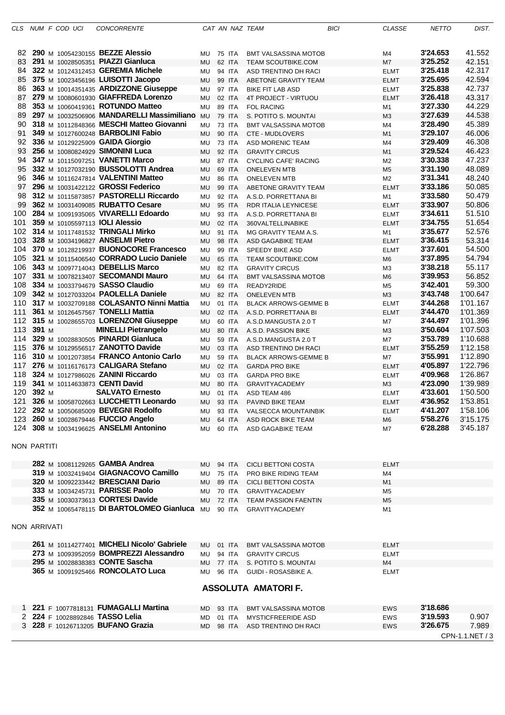| CLS                 |       |  | NUM F COD UCI | <b>CONCORRENTE</b>                                                       |           |                  | CAT AN NAZ TEAM                             | <b>BICI</b> | <b>CLASSE</b>  | <b>NETTO</b>         | DIST.                |
|---------------------|-------|--|---------------|--------------------------------------------------------------------------|-----------|------------------|---------------------------------------------|-------------|----------------|----------------------|----------------------|
|                     |       |  |               |                                                                          |           |                  |                                             |             |                |                      |                      |
|                     |       |  |               | 82 290 M 10054230155 BEZZE Alessio                                       | MU        | 75 ITA           | <b>BMT VALSASSINA MOTOB</b>                 |             | M4             | 3'24.653             | 41.552               |
| 83                  |       |  |               | 291 M 10028505351 PIAZZI Gianluca                                        | <b>MU</b> | 62 ITA           | <b>TEAM SCOUTBIKE.COM</b>                   |             | M7             | 3'25.252             | 42.151               |
| 84                  |       |  |               | 322 M 10124312453 GEREMIA Michele                                        | MU        | 94 ITA           | ASD TRENTINO DH RACI                        |             | <b>ELMT</b>    | 3'25.418             | 42.317               |
| 85                  |       |  |               | 375 M 10023456196 LUISOTTI Jacopo                                        | <b>MU</b> | 99 ITA           | ABETONE GRAVITY TEAM                        |             | <b>ELMT</b>    | 3'25.695             | 42.594               |
| 86                  |       |  |               | 363 M 10014351435 ARDIZZONE Giuseppe                                     | MU        | 97 ITA           | <b>BIKE FIT LAB ASD</b>                     |             | <b>ELMT</b>    | 3'25.838             | 42.737               |
| 87                  |       |  |               | 279 M 10080601930 GIAFFREDA Lorenzo                                      | <b>MU</b> | 02 ITA           | 4T PROJECT - VIRTUOU                        |             | <b>ELMT</b>    | 3'26.418             | 43.317               |
| 88                  |       |  |               | 353 M 10060419361 ROTUNDO Matteo                                         | MU        | 89 ITA           | <b>FOL RACING</b>                           |             | M1             | 3'27.330             | 44.229               |
| 89                  |       |  |               | 297 M 10032506906 MANDARELLI Massimiliano MU                             |           | 79 ITA           | S. POTITO S. MOUNTAI                        |             | M <sub>3</sub> | 3'27.639             | 44.538               |
| 90                  |       |  |               | 318 M 10112848366 MESCHI Matteo Giovanni                                 | MU        | 73 ITA           | <b>BMT VALSASSINA MOTOB</b>                 |             | M4             | 3'28.490             | 45.389               |
| 91                  |       |  |               | 349 M 10127600248 <b>BARBOLINI Fabio</b>                                 | <b>MU</b> | 90 ITA           | <b>CTE - MUDLOVERS</b>                      |             | M1             | 3'29.107             | 46.006               |
| 92.                 |       |  |               | 336 M 10129225909 GAIDA Giorgio                                          | MU        | 73 ITA           | <b>ASD MORENIC TEAM</b>                     |             | M4             | 3'29.409             | 46.308               |
| 93                  |       |  |               | 256 M 10080824929 SIMONINI Luca                                          | <b>MU</b> | 92 ITA           | <b>GRAVITY CIRCUS</b>                       |             | M1             | 3'29.524             | 46.423               |
| 94                  |       |  |               | 347 M 10115097251 VANETTI Marco                                          | MU        | 87 ITA           | <b>CYCLING CAFE' RACING</b>                 |             | M <sub>2</sub> | 3'30.338             | 47.237               |
| 95                  |       |  |               | 332 M 10127032190 BUSSOLOTTI Andrea                                      | <b>MU</b> | 69 ITA           | <b>ONELEVEN MTB</b>                         |             | M <sub>5</sub> | 3'31.190             | 48.089               |
| 96                  |       |  |               | 346 M 10116247814 VALENTINI Matteo                                       | MU        | 86 ITA           | <b>ONELEVEN MTB</b>                         |             | M <sub>2</sub> | 3'31.341             | 48.240               |
| 97                  |       |  |               | 296 M 10031422122 GROSSI Federico                                        | <b>MU</b> | 99 ITA           | ABETONE GRAVITY TEAM                        |             | <b>ELMT</b>    | 3'33.186             | 50.085               |
| 98                  |       |  |               | 312 M 10115873857 PASTORELLI Riccardo                                    | <b>MU</b> | 92 ITA           | A.S.D. PORRETTANA BI                        |             | M1             | 3'33.580             | 50.479               |
| 99                  |       |  |               | 362 M 10031409085 RUBATTO Cesare                                         | <b>MU</b> | 95 ITA           | RDR ITALIA LEYNICESE                        |             | <b>ELMT</b>    | 3'33.907             | 50.806               |
| 100                 |       |  |               | 284 M 10091935065 VIVARELLI Edoardo                                      | <b>MU</b> | 93 ITA           | A.S.D. PORRETTANA BI                        |             | <b>ELMT</b>    | 3'34.611             | 51.510               |
| 101                 |       |  |               | 359 M 10105597113 <b>IOLI Alessio</b>                                    | <b>MU</b> | 02 ITA           | 360VALTELLINABIKE                           |             | <b>ELMT</b>    | 3'34.755             | 51.654               |
| 102                 |       |  |               | 314 M 10117481532 TRINGALI Mirko                                         | MU        | 91 ITA           | MG GRAVITY TEAM A.S.                        |             | M1             | 3'35.677             | 52.576               |
| 103                 |       |  |               | 328 M 10034196827 ANSELMI Pietro                                         | <b>MU</b> | 98 ITA           | ASD GAGABIKE TEAM                           |             | <b>ELMT</b>    | 3'36.415             | 53.314               |
| 104.                |       |  |               | 370 M 10128219937 BUONOCORE Francesco                                    | <b>MU</b> | 99 ITA           | SPEEDY BIKE ASD                             |             | <b>ELMT</b>    | 3'37.601             | 54.500               |
| 105                 |       |  |               | 321 M 10115406540 CORRADO Lucio Daniele                                  | MU        | 65 ITA           | <b>TEAM SCOUTBIKE.COM</b>                   |             | M6             | 3'37.895             | 54.794               |
| 106                 |       |  |               | 343 M 10097714043 DEBELLIS Marco                                         | MU        | 82 ITA           | <b>GRAVITY CIRCUS</b>                       |             | M <sub>3</sub> | 3'38.218             | 55.117               |
| 107                 |       |  |               | 331 M 10078213407 SECOMANDI Mauro                                        | <b>MU</b> | 64 ITA           | <b>BMT VALSASSINA MOTOB</b>                 |             | M <sub>6</sub> | 3'39.953             | 56.852               |
| 108                 |       |  |               | 334 M 10033794679 SASSO Claudio                                          | MU        | 69 ITA           | READY2RIDE                                  |             | M <sub>5</sub> | 3'42.401             | 59.300               |
| 109                 |       |  |               | 342 M 10127033204 PAOLELLA Daniele                                       | <b>MU</b> | 82 ITA           | <b>ONELEVEN MTB</b>                         |             | M <sub>3</sub> | 3'43.748             | 1'00.647             |
| 110<br>111          |       |  |               | 317 M 10032709188 COLASANTO Ninni Mattia                                 | <b>MU</b> | 01 ITA           | <b>BLACK ARROWS-GEMME B</b>                 |             | <b>ELMT</b>    | 3'44.268<br>3'44.470 | 1'01.167<br>1'01.369 |
| 112                 |       |  |               | 361 M 10126457567 TONELLI Mattia<br>315 M 10028655703 LORENZONI Giuseppe | <b>MU</b> | 02 ITA           | A.S.D. PORRETTANA BI                        |             | <b>ELMT</b>    | 3'44.497             | 1'01.396             |
| 113                 | 391 M |  |               | <b>MINELLI Pietrangelo</b>                                               | MU<br>MU  | 60 ITA<br>80 ITA | A.S.D.MANGUSTA 2.0 T                        |             | M7<br>M3       | 3'50.604             | 1'07.503             |
| 114                 |       |  |               | 329 M 10028830505 PINARDI Gianluca                                       | MU        | 59 ITA           | A.S.D. PASSION BIKE<br>A.S.D.MANGUSTA 2.0 T |             | M7             | 3'53.789             | 1'10.688             |
| 115                 |       |  |               | 376 M 10129556517 ZANOTTO Davide                                         | <b>MU</b> | 03 ITA           | ASD TRENTINO DH RACI                        |             | <b>ELMT</b>    | 3'55.259             | 1'12.158             |
| 116                 |       |  |               | 310 M 10012073854 FRANCO Antonio Carlo                                   | MU        | 59 ITA           | <b>BLACK ARROWS-GEMME B</b>                 |             | M7             | 3'55.991             | 1'12.890             |
| 117                 |       |  |               | 276 M 10116176173 CALIGARA Stefano                                       | MU        | 02 ITA           | <b>GARDA PRO BIKE</b>                       |             | <b>ELMT</b>    | 4'05.897             | 1'22.796             |
| 118                 |       |  |               | 324 M 10127986026 ZANINI Riccardo                                        | MU        | 03 ITA           | <b>GARDA PRO BIKE</b>                       |             | <b>ELMT</b>    | 4'09.968             | 1'26.867             |
| 119                 |       |  |               | 341 M 10114633873 CENTI David                                            | <b>MU</b> | 80 ITA           | <b>GRAVITYACADEMY</b>                       |             | M3             | 4'23.090             | 1'39.989             |
| 120                 | 392 M |  |               | <b>SALVATO Ernesto</b>                                                   | MU        | 01 ITA           | ASD TEAM 486                                |             | <b>ELMT</b>    | 4'33.601             | 1'50.500             |
| 121                 |       |  |               | 326 M 10058702663 LUCCHETTI Leonardo                                     | MU        | 93 ITA           | PAVIND BIKE TEAM                            |             | <b>ELMT</b>    | 4'36.952             | 1'53.851             |
|                     |       |  |               | 122 292 M 10050685009 BEVEGNI Rodolfo                                    | MU.       | 93 ITA           | VALSECCA MOUNTAINBIK                        |             | <b>ELMT</b>    | 4'41.207             | 1'58.106             |
|                     |       |  |               | 123 260 M 10028679446 FUCCIO Angelo                                      | MU        | 64 ITA           | ASD ROCK BIKE TEAM                          |             | M6             | 5'58.276             | 3'15.175             |
|                     |       |  |               | 124 308 M 10034196625 ANSELMI Antonino                                   | MU        | 60 ITA           | ASD GAGABIKE TEAM                           |             | M7             | 6'28.288             | 3'45.187             |
| NON PARTITI         |       |  |               |                                                                          |           |                  |                                             |             |                |                      |                      |
|                     |       |  |               |                                                                          |           |                  |                                             |             |                |                      |                      |
|                     |       |  |               | 282 M 10081129265 GAMBA Andrea                                           | MU        | 94 ITA           | <b>CICLI BETTONI COSTA</b>                  |             | <b>ELMT</b>    |                      |                      |
|                     |       |  |               | 319 M 10032419404 GIAGNACOVO Camillo                                     | MU        | 75 ITA           | PRO BIKE RIDING TEAM                        |             | M4             |                      |                      |
|                     |       |  |               | 320 M 10092233442 BRESCIANI Dario                                        | MU        | 89 ITA           | <b>CICLI BETTONI COSTA</b>                  |             | M1             |                      |                      |
|                     |       |  |               | 333 M 10034245731 PARISSE Paolo                                          | MU        | 70 ITA           | GRAVITYACADEMY                              |             | M <sub>5</sub> |                      |                      |
|                     |       |  |               | 335 M 10030373613 CORTESI Davide                                         | MU        | <b>72 ITA</b>    | <b>TEAM PASSION FAENTIN</b>                 |             | M <sub>5</sub> |                      |                      |
|                     |       |  |               | 352 M 10065478115 DI BARTOLOMEO Gianluca MU                              |           | 90 ITA           | <b>GRAVITYACADEMY</b>                       |             | M1             |                      |                      |
| <b>NON ARRIVATI</b> |       |  |               |                                                                          |           |                  |                                             |             |                |                      |                      |
|                     |       |  |               | 261 M 10114277401 MICHELI Nicolo' Gabriele                               | MU        | 01 ITA           | <b>BMT VALSASSINA MOTOB</b>                 |             | <b>ELMT</b>    |                      |                      |
|                     |       |  |               | 273 M 10093952059 BOMPREZZI Alessandro                                   | MU        | 94 ITA           | <b>GRAVITY CIRCUS</b>                       |             | <b>ELMT</b>    |                      |                      |
|                     |       |  |               | 295 M 10028838383 CONTE Sascha                                           | MU        | 77 ITA           | S. POTITO S. MOUNTAI                        |             | M4             |                      |                      |
|                     |       |  |               | 365 M 10091925466 RONCOLATO Luca                                         | MU        | 96 ITA           | GUIDI - ROSASBIKE A.                        |             | <b>ELMT</b>    |                      |                      |
|                     |       |  |               |                                                                          |           |                  | <b>ASSOLUTA AMATORIF.</b>                   |             |                |                      |                      |
|                     |       |  |               |                                                                          |           |                  |                                             |             |                |                      |                      |
|                     |       |  |               | 1 221 F 10077818131 FUMAGALLI Martina                                    | MD        | 93 ITA           | <b>BMT VALSASSINA MOTOB</b>                 |             | <b>EWS</b>     | 3'18.686             |                      |
|                     |       |  |               | 2 224 F 10028892846 TASSO Lelia                                          | MD        | 01 ITA           | <b>MYSTICFREERIDE ASD</b>                   |             | <b>EWS</b>     | 3'19.593             | 0.907                |
|                     |       |  |               | 3 228 F 10126713205 BUFANO Grazia                                        | MD        | 98 ITA           | ASD TRENTINO DH RACI                        |             | EWS            | 3'26.675             | 7.989                |
|                     |       |  |               |                                                                          |           |                  |                                             |             |                |                      | CPN-1.1.NET / 3      |